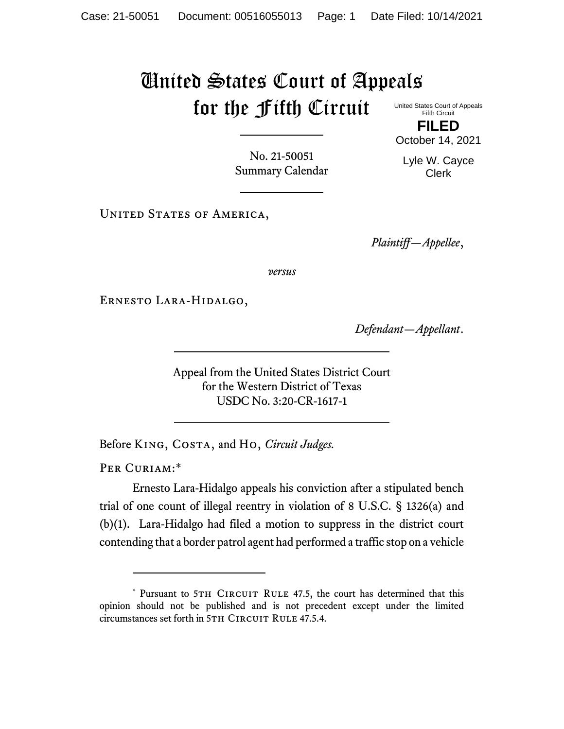## United States Court of Appeals for the Fifth Circuit

United States Court of Appeals Fifth Circuit **FILED**

October 14, 2021

No. 21-50051 Summary Calendar

Lyle W. Cayce Clerk

UNITED STATES OF AMERICA,

*Plaintiff—Appellee*,

*versus*

Ernesto Lara-Hidalgo,

*Defendant—Appellant*.

Appeal from the United States District Court for the Western District of Texas USDC No. 3:20-CR-1617-1

Before King, Costa, and Ho, *Circuit Judges.*

PER CURIAM:\*

Ernesto Lara-Hidalgo appeals his conviction after a stipulated bench trial of one count of illegal reentry in violation of 8 U.S.C. § 1326(a) and (b)(1). Lara-Hidalgo had filed a motion to suppress in the district court contending that a border patrol agent had performed a traffic stop on a vehicle

<sup>\*</sup> Pursuant to 5TH CIRCUIT RULE 47.5, the court has determined that this opinion should not be published and is not precedent except under the limited circumstances set forth in 5TH CIRCUIT RULE 47.5.4.